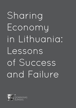# Sharing Economy in Lithuania: Lessons of Success and Failure

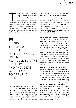The sharing economy is becom-<br>
ing the next big thing. To recap<br>
briefly, it is a type of business<br>
model where the online plat-<br>
form enables buyers and sell-<br>
ers to communicate directly. The market ing the next big thing. To recap briefly, it is a type of business model where the online platform enables buyers and sellplayers are usually (but not exclusively) people who work on a freelance basis. In addition, digital platforms usually provide various tools like direct contact options, feedback and payment systems, etc.

99 IN 2015, THE GROSS REVENUE IN THE EUROPEAN UNION FROM COLLABORATIVE PLATFORMS AND PROVIDERS WAS ESTIMATED TO BE EUR 28 BILLION

According to the European Commission, in 2015, the gross revenue in the European Union from collaborative platforms and providers was estimated to be EUR 28 billion. In the United States, nearly 1% of adults actively earn income from the online platform economy. Nevertheless, compared to the last three years, this number has increased tenfold. The total number of people who have used sharing economy platforms has increased forty seven times in the last three years. Even though the numbers are still not significant, the recent increase has been immense. Taking this and other factors into consideration, the European Parliament estimates that the potential economic gain from the better use of capacities enabled by the sharing economy is EUR 572 billion in annual consumption across the EU.

The first sharing economy businesses appeared in Lithuania only a couple of years ago. Therefore, there is not enough economic data to evaluate how significant it has been to the Lithuanian economy. The sectors that the sharing economy business models emerge in are rather different and completely separated. This has led to both – different attitudes of the governmental institutions and different paces of development. In order to see how sharing economy markets operate, an analysis of the relationship between the governing bodies and the sharing economies is much needed.

## TAXI REGULATIONS IN LITHUANIA

The main passenger transporting companies in Lithuania are taxi companies. Taxi drivers and their cars are subject to a certain set of rules and requirements. As in most of the countries, special marking signs are required for cars. These include a taxi sign which has to be placed on top of a car and has to be lit while the car is being used as a taxi. A car must also have a specific yellow and black marking on the outside of it. Requirements for taxi cars also include specific license plates and more strict civil insurance policies, which tend to be more expensive than the ones for regular cars. Moreover, taxi cars have to pass a vehicle inspection once a year, and twice a year if a car is older than five years.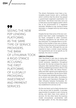99 SEEING THE NEW P2P LENDING PLATFORMS AS THE SAME TYPE OF SERVICE PROVIDERS, THE BANK OF LITHUANIA TOOK A RIGID STANCE ACCUSING THE FIRST PLATFORMS OF ILLEGALLY PROVIDING INVESTMENT AND PAYMENT SERVICES

The drivers themselves must have a municipality-issued license and a certificate which confirms that the driver has passed a government-organized examination for taxi drivers. Taxi drivers must also carry out a meticulous journal logging system which has to be synchronized to a registered taximeter. Needless to say, issuing of these taximeters is charged extra by local taxing authorities.

Despite the fact that some of the taxi companies have been under investigation for tax fraud, compared to other countries, Lithuanian regulations for taxi drivers are less restrictive. For example there is no limitation of the number of taxi cars or drivers, and the license fees are not as exorbitant as in Paris or New York. Although the cars are required to have a certain visual marking, the requirements are not as specific as, for example, the ones in London.

## UBER IN LITHUANIA

Uber flourished in part due to being able to suggest an alternative to the aforementioned excessive regulations throughout the world. Yet, this has not been the case in Lithuania. Uber reached Vilnius on January 2014 by establishing its branch office in the city. In October 2015, the Vilnius Municipality and Uber signed a joint agreement to commence operations. By the end of 2015, the company was already providing services for drivers and riders alike. According to the Logistics and Operations Manager for Uber Lithuania Vytautas Černiauskas, Vilnius has been the fastest city in which Uber has established its services so far.

On the one hand, such a hasty introduction of the service had its benefits. It provides opportunities for people to earn money by driving, and riders have more options of services. On the other hand, the business model encountered uncertainties with the legal system. At first, this discouraged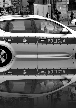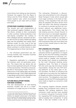some drivers from taking up new business. However, the support from the Mayor of Vilnius and the Prime Minister resulted in clearer taxation rules, which encouraged more people to join Uber both as drivers and riders.

## OTHER RIDE-SHARING EXAMPLES

The smooth and swift establishment of Uber produced negative feedback as well. Taxi drivers, similarly to their counterparts in other countries, started protesting a new ride-sharing competitor. But contrary to their colleagues abroad, Lithuanian taxi drivers did not end up rioting. Mobile taxi hailing apps saw the possibility and copied Uber's business model. So now, most of the taxi apps also act as ride sharing platforms with drivers working in a similar manner to Uber. This happened due to three main factors:

1. The Lithuanian government was welcoming towards new innovative business models, especially Uber.

2. Regulations applicable to a traditional taxi business were not particularly excessive. This means that taxi drivers did not have to invest significant amounts of money in their taxi business. This led to a more stable shift in<sup>1</sup> the business model. The ICT infrastructure of taxi hailing apps was already developed enough. Only a slight adjustment in app design and business organization was necessary to adapt to a new model.

## FUTURE REGULATORY MODEL FOR RIDE-SHARING

The fast development of ride-sharing business models has led to a implementation of a legal vacuum in this area.

The Lithuanian Parliament is discussing a new amendment to the Lithuanian Road Transport Code which would add more legal certainty in the field of ridesharing. A new regulation that will most likely be adopted will allow drivers from Uber and other ride-sharing companies to continue to provide services for customers without any additional licensing requirements. This means that the ride-sharing services should flourish in the future due to a favorable regulation. On the other hand traditional taxi services might find it harder to compete. If regular taxi companies will not reinvent their businesses they will most likely lose a part of their market share to ride-sharing businesses.

## P2P LENDING IN LITHUANIA

The first digital P2P lending platform in Lithuania started its operations on August 2014. By the time P2P lending companies started their businesses in Lithuania, consumer credit or "payday" loan companies had already been viewed as problematic by the main Lithuanian banking sector regulatory body. The Bank of Lithuania felt that some pay-day borrowers lacked responsibility. Seeing the new P2P lending platforms as the same type of service providers, the Bank of Lithuania took a rigid stance accusing the first platforms of illegally providing investment and payment services. The allegations have been dropped, but all the P2P lending platforms were made to register as consumer credit companies.

The ongoing negative attitude towards payday loan companies and a failure to separate P2P lending platforms from consumer credit services have resulted in a harsher Lithuanian Consumer Credit Act regulating P2P lending platforms as well as payday loan companies. In early 2016, a new law created a new set of

<sup>&</sup>lt;sup>1</sup> It has to be noted that the Lithuanian Bank does not separate P2P lending platform data from payday loans, therefore the absolute numbers given in the statistics do not represent P2P lending platforms directly. Nevertheless, the relative numbers partially describe the P2P lending situation because it has suffered similar losses.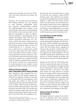market entry barriers and service limitations that have affected the market significantly.

Among a set of bureaucratic procedures, P2P lending platforms are now required to have business sustainability plans and customer creditworthiness evaluation methodologies. Even though it may sound benign, there are no clear guidelines which define what business plans will be deemed sustainable or which creditworthiness evaluation methodologies will be deemed acceptable. Apart from that, significant procedural restrictions for consumer credits have been implemented as well. Both consumer credit companies and P2P lending companies have to check the creditworthiness of a customer and issue a credit only if a customer has a debt to income ratio lower than 40%. What is more, new debtors have to obtain consent of their spouses to borrow resources. Specific P2P lender restrictions have also come into power. Lenders can only give EUR 500 worth of credit to one borrower in a period of 12 months. Furthermore, a total amount of credit received by one creditor cannot exceed EUR 5,000 in a period of 12 months.

# EFFECTS OF P2P LENDING AND CONSUMER CREDIT REGULATIONS

New regulations have impacted the consumer credit and P2P lending markets significantly. According to the Bank of Lithuania, in one quarter after the new legislation came into power, the number of loans that are overdue by 60 days have decreased by 12%. In Q1 of 2016, a total amount of 441 thousand consumer loans was issued. That is 21% less than in the end of 2015. All in all, both the number of newly issued loans and the total value of credits have dropped<sup>2</sup> due to a number of new restrictions and regulations. Despite the fact that the government is trying to curb both the consumer credit and P2P lending sector, new platforms are emerging. Since the establishing of the first lending platform in 2014, the total number of platforms has reached four, but the liveliness of the market is still far from what is happening in the UK. The vast majority of the P2P lending activity is concentrated there. It accounts for over 84% of the entire European market, while Lithuania accounts for less than 0.1%.

# FUTURE REGULATORY MODEL FOR P2P LENDING

Neither the Lithuanian government, nor the society distinguishes between the P2P lending sector and the payday loan businesses. This is the main reason why the P2P lending sector will most likely remain regulated as strictly as the consumer credit market. Nevertheless, P2P lending companies fight actively against the current regulation. This has resulted in a proposal to abolish limits on the amount of money invested by lenders and the amount of money borrowed by debtors.

Despite the fact that the P2P lending platforms are being frowned upon by the government, a new legislation is being proposed by the government which enables crowdfunding activities in Lithuania. It will allow both natural and legal persons to acquire funds for funding of their future businesses, as well as professional, scientific or research projects. New legislation will most likely have some traces of paternalist regulations that the current Consumer Credit Act has. For example, it is most likely that the creditors will be able to invest only up to EUR 1,000 using one crowdfunding platform. A new legislation is expected to be adopted in late 2016.

# REGULATION OF HOTELS IN LITHUANIA

Lithuanian hotels are subject to an extensive set of different rules. They consist of various requirements for the construction

<sup>2</sup> http://www.lb.lt/sugrieztinus\_vartojimo\_kreditu\_teikimo\_salygas\_ju\_suteikta\_gerokai\_maziau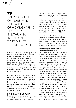99 ONLY A COUPLE OF YEARS AFTER THE LAUNCH OF HOME-SHARING PLATFORMS IN LITHUANIA, INTENTIONS TO REGULATE IT HAVE EMERGED

including: water and electricity supply, sanitation, telecommunication, accessibility for the disabled, lighting, ventilation and fire safety standards. Apart from that, there are specific requirements regarding being soundproof and the temperature level in hotels (at least +18°C). Finally, hotels must also pass sanitation inspection. Both the intensity and extensity of the sanitation standards depend on whether the hotel has a restaurant in it.

Aside from all the aforementioned requirements, some of the hotels are subject to a mandatory "pillow-tax". The Lithuanian pillow-tax system is set by municipalities; therefore the taxation varies by the regions. Usually, a certain tariff is set for accommodation. This means that a customer of a hotel usually has to pay an extra amount of money per night.

#### HOME SHARING IN LITHUANIA

Home sharing in Lithuania is not a new concept. People living in resort towns rented out their flats, houses or any real estate as a short term accommodation to the vacationers long before the IT platforms were developed. Only after around twenty five years the concept of home sharing was elevated into a digital level. It is difficult to estimate when the online home-sharing platforms were first used in Lithuania. One of the most popular platforms, Airbnb.com, does not have its branch office in Lithuania. Another similar platform, booking.com, was established in Lithuania in 2014.

It is difficult to estimate how many people use these platforms for their businesses as they are not eligible to register as the accommodation providers. Booking.com has over 2,000 listings in Lithuania whereas Airbnb is said to have over 1,000 listings.

# FUTURE REGULATORY MODEL FOR ACCOMMODATION

Only a couple of years after the launch of home-sharing platforms in Lithuania, intentions to regulate it have emerged. The biggest pro-regulation stakeholder appeared to be the Lithuanian Hotel and Restaurant Association which represents already established market players. The association has approached the Lithuanian government with the proposal to regulate short-term home-renting activities including home-sharing platforms. Regulations would require homeowners to provide certificates from governmental institutions confirming that the accommodation meets certain government-set requirements dealing with building safety and hygiene, which the established market players are already subject to. Home owners would be required to meet special fire safety standards, which would be higher than the regular ones applied to typical housing. Above all, new regulations would require all short-term house-renting businesses to register separately with the State Tourism Department. The Lithuanian Hotel and Restaurant Association claims that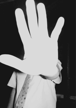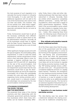the main purpose of such regulation is to calculate the tourism streams in Lithuania more thoroughly. It is also said that the additional regulations will not add to the cost of the homeowners who want to rent out their real estate. This however, may not be entirely true. What these suggestions definitely do add are additional bureaucratic procedures that do not exist at the moment.

Firstly, homeowners would have to get all the necessary certificates from different institutions in order to submit them to the tax administration institution. Secondly, all of the businesses would have to register with the State Tourism Department. These procedures would add up to a cost of small businesses.

Other significant changes would come with the special hygiene, fire and building safety requirements. In order to meet the raised requirements, owners would have to invest more in their real estate. What is more, for example, a hygiene certificate may cost between EUR 44 and EUR 117, depending on the size of the accommodation. And above all, registering with the State Tourism Department would mean that the new businesses would have to pay the aforementioned pillow tax set by the respective municipality. All of these will undoubtedly increase the costs and lower flexibility in organizing home-renting activities and in turn, would result in a reduced competitive advantage now possessed by the new accommodation-sharing businesses.

## LITHUANIAN GOVERNMENT: THE GOOD, THE BAD AND THE INDIFFERENT

The presented three areas of the sharing economy and their relationship with the Lithuanian government perfectly illustrate how businesses which share many similarities can be treated completely differ-

ently. Firstly, there is Uber and other ridesharing businesses that have been warmly welcomed in Lithuania. Secondly, there are entities which experience completely different sentiments – namely, P2P lending platforms, which have been a target of heavy governmental regulations. Thirdly, there is the accommodation sector where the main initiative to regulate home-sharing businesses comes from the competitors – hotels. After analyzing these three cases, the following issues influencing the regulation to the greatest extent can be identified:

## 1. Prior attitude and prejudice towards similar traditional services

All of the three cases show that the prejudice of the government and the society is extremely significant when it comes to the forming of the regulatory environment. The ride-sharing and accommodation cases prove that when the government does not have a negative attitude towards traditional services (e.g. taxis or hotels), it most likely will not be inclined to regulate the sharing economy business model rigidly. P2P lending example shows a different side of the coin – the government has considered traditional services (i.e. payday loans) harmful. Therefore, the emergence of a new sharing economy business model has not been considered as a new type of business or a way for people to invest money but rather as an additional possible threat to financial security. This has led to an extensive regulation that prevents a sustainable development in the early stages of the P2P lending development.

### 2. Separation of a new business model and similar services

The ride-sharing case has proven that a distinction between the sharing economy and its traditional competing busi